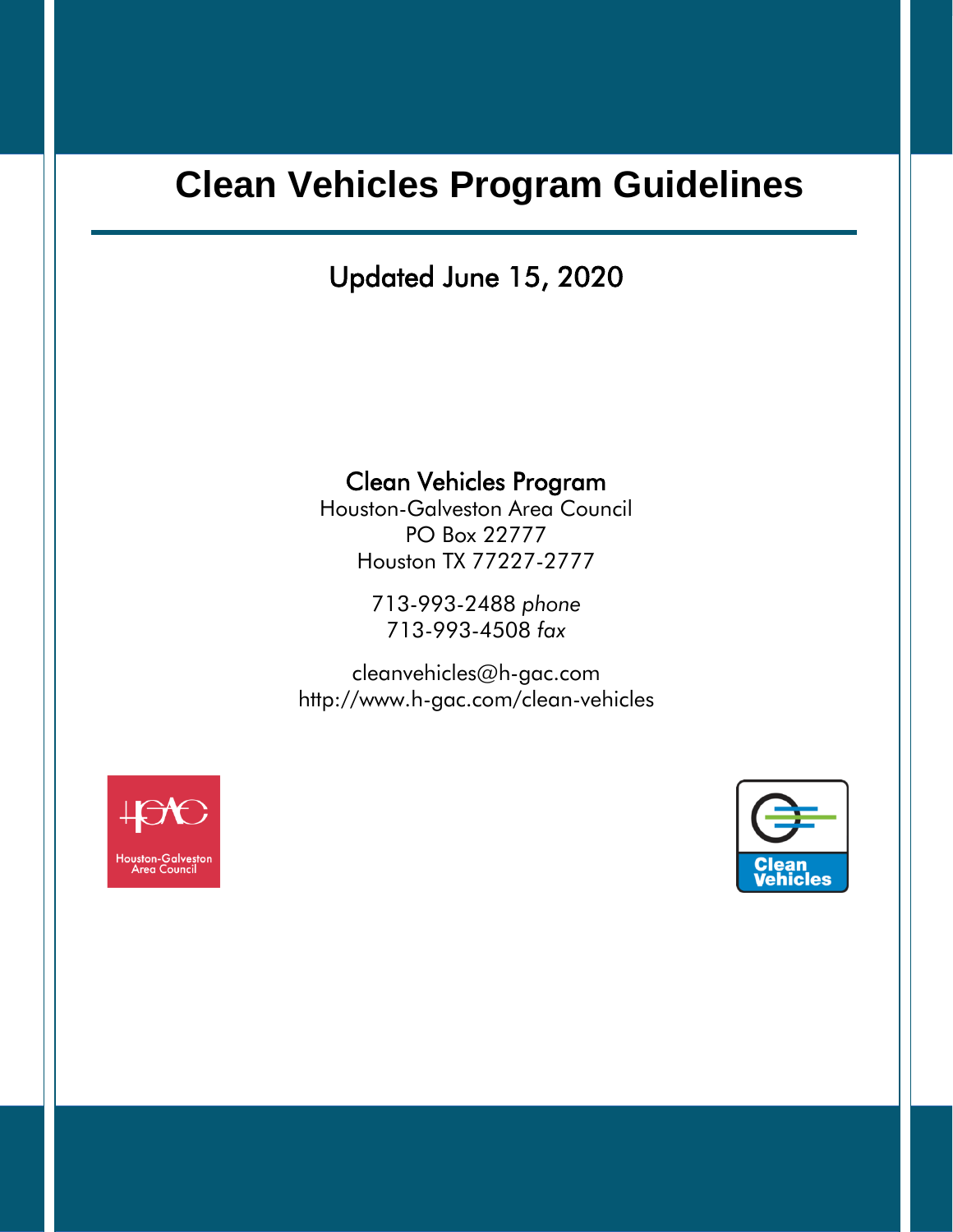Updated June 15, 2020

### Clean Vehicles Program

Houston-Galveston Area Council PO Box 22777 Houston TX 77227-2777

> 713-993-2488 *phone* 713-993-4508 *fax*

[cleanvehicles@h-gac.com](mailto:cleanvehicles@h-gac.com) <http://www.h-gac.com/clean-vehicles>



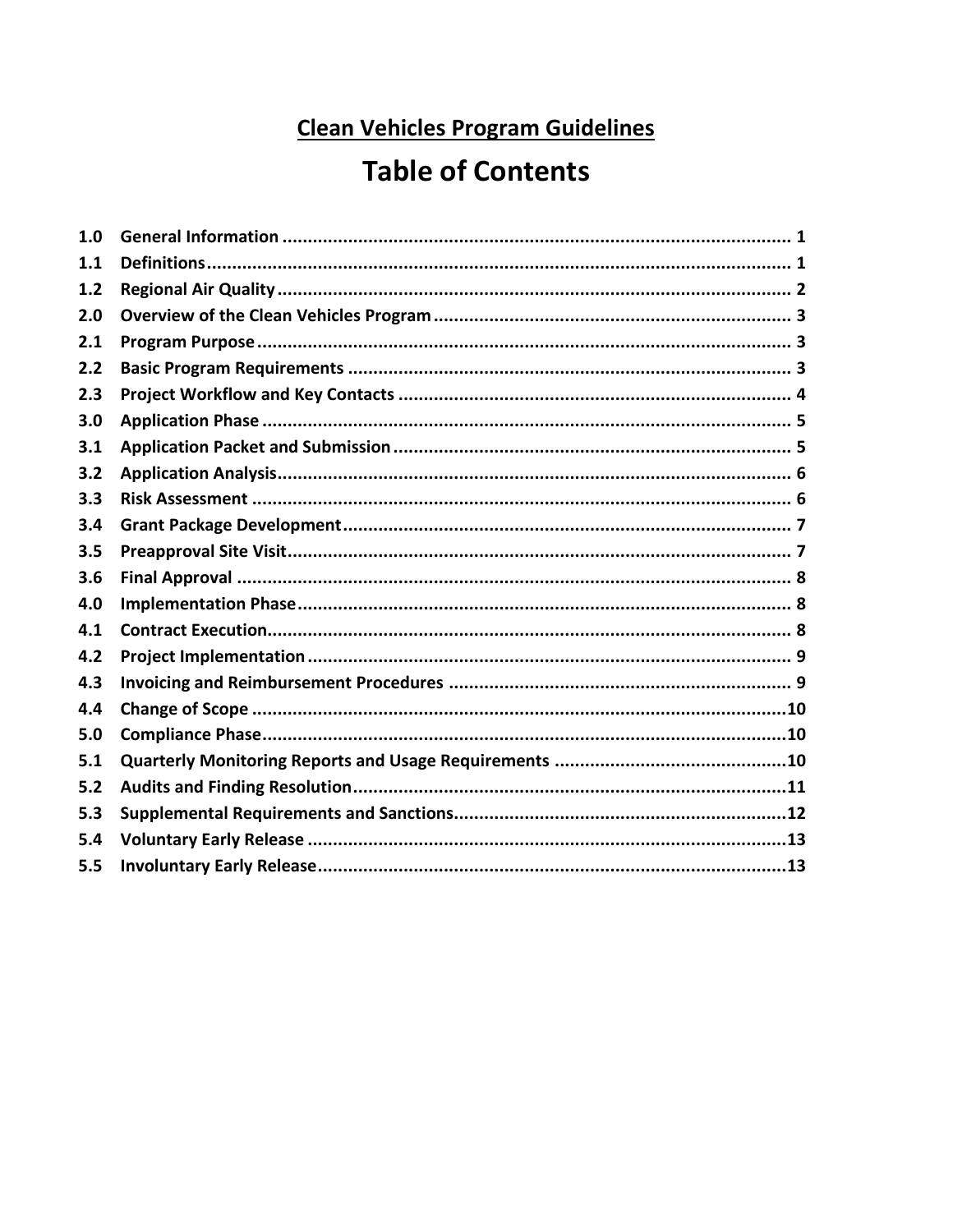## **Table of Contents**

| 1.0 |  |
|-----|--|
| 1.1 |  |
| 1.2 |  |
| 2.0 |  |
| 2.1 |  |
| 2.2 |  |
| 2.3 |  |
| 3.0 |  |
| 3.1 |  |
| 3.2 |  |
| 3.3 |  |
| 3.4 |  |
| 3.5 |  |
| 3.6 |  |
| 4.0 |  |
| 4.1 |  |
| 4.2 |  |
| 4.3 |  |
| 4.4 |  |
| 5.0 |  |
| 5.1 |  |
| 5.2 |  |
| 5.3 |  |
| 5.4 |  |
| 5.5 |  |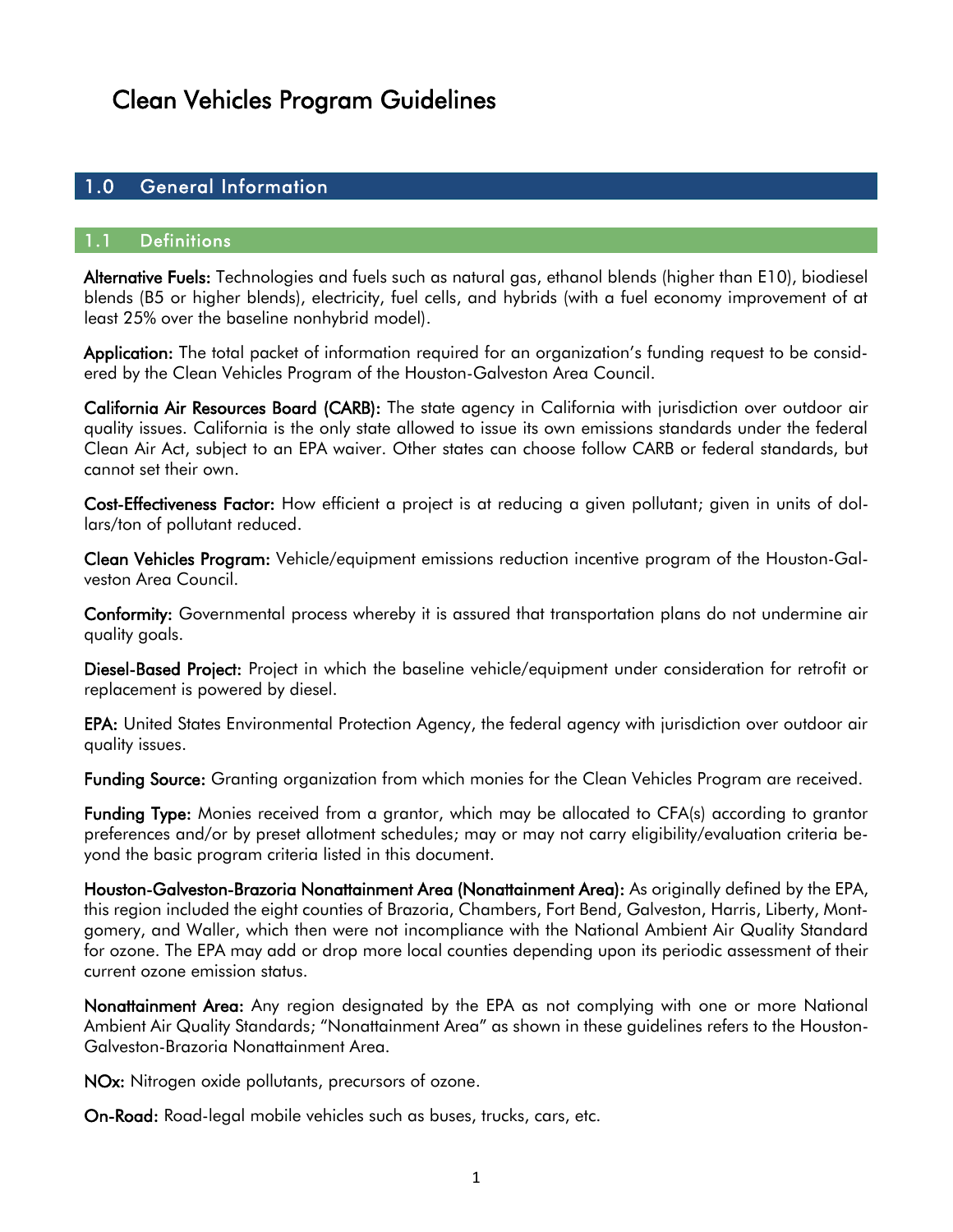#### <span id="page-2-1"></span><span id="page-2-0"></span>1.0 General Information

#### 1.1 Definitions

Alternative Fuels: Technologies and fuels such as natural gas, ethanol blends (higher than E10), biodiesel blends (B5 or higher blends), electricity, fuel cells, and hybrids (with a fuel economy improvement of at least 25% over the baseline nonhybrid model).

Application: The total packet of information required for an organization's funding request to be considered by the Clean Vehicles Program of the Houston-Galveston Area Council.

California Air Resources Board (CARB): The state agency in California with jurisdiction over outdoor air quality issues. California is the only state allowed to issue its own emissions standards under the federal [Clean Air Act,](https://en.wikipedia.org/wiki/Clean_Air_Act_(United_States)) subject to an EPA waiver. Other states can choose follow CARB or federal standards, but cannot set their own.

Cost-Effectiveness Factor: How efficient a project is at reducing a given pollutant; given in units of dollars/ton of pollutant reduced.

Clean Vehicles Program: Vehicle/equipment emissions reduction incentive program of the Houston-Galveston Area Council.

Conformity: Governmental process whereby it is assured that transportation plans do not undermine air quality goals.

Diesel-Based Project: Project in which the baseline vehicle/equipment under consideration for retrofit or replacement is powered by diesel.

EPA: United States Environmental Protection Agency, the federal agency with jurisdiction over outdoor air quality issues.

Funding Source: Granting organization from which monies for the Clean Vehicles Program are received.

Funding Type: Monies received from a grantor, which may be allocated to CFA(s) according to grantor preferences and/or by preset allotment schedules; may or may not carry eligibility/evaluation criteria beyond the basic program criteria listed in this document.

Houston-Galveston-Brazoria Nonattainment Area (Nonattainment Area): As originally defined by the EPA, this region included the eight counties of Brazoria, Chambers, Fort Bend, Galveston, Harris, Liberty, Montgomery, and Waller, which then were not incompliance with the National Ambient Air Quality Standard for ozone. The EPA may add or drop more local counties depending upon its periodic assessment of their current ozone emission status.

Nonattainment Area: Any region designated by the EPA as not complying with one or more National Ambient Air Quality Standards; "Nonattainment Area" as shown in these guidelines refers to the Houston-Galveston-Brazoria Nonattainment Area.

NOx: Nitrogen oxide pollutants, precursors of ozone.

On-Road: Road-legal mobile vehicles such as buses, trucks, cars, etc.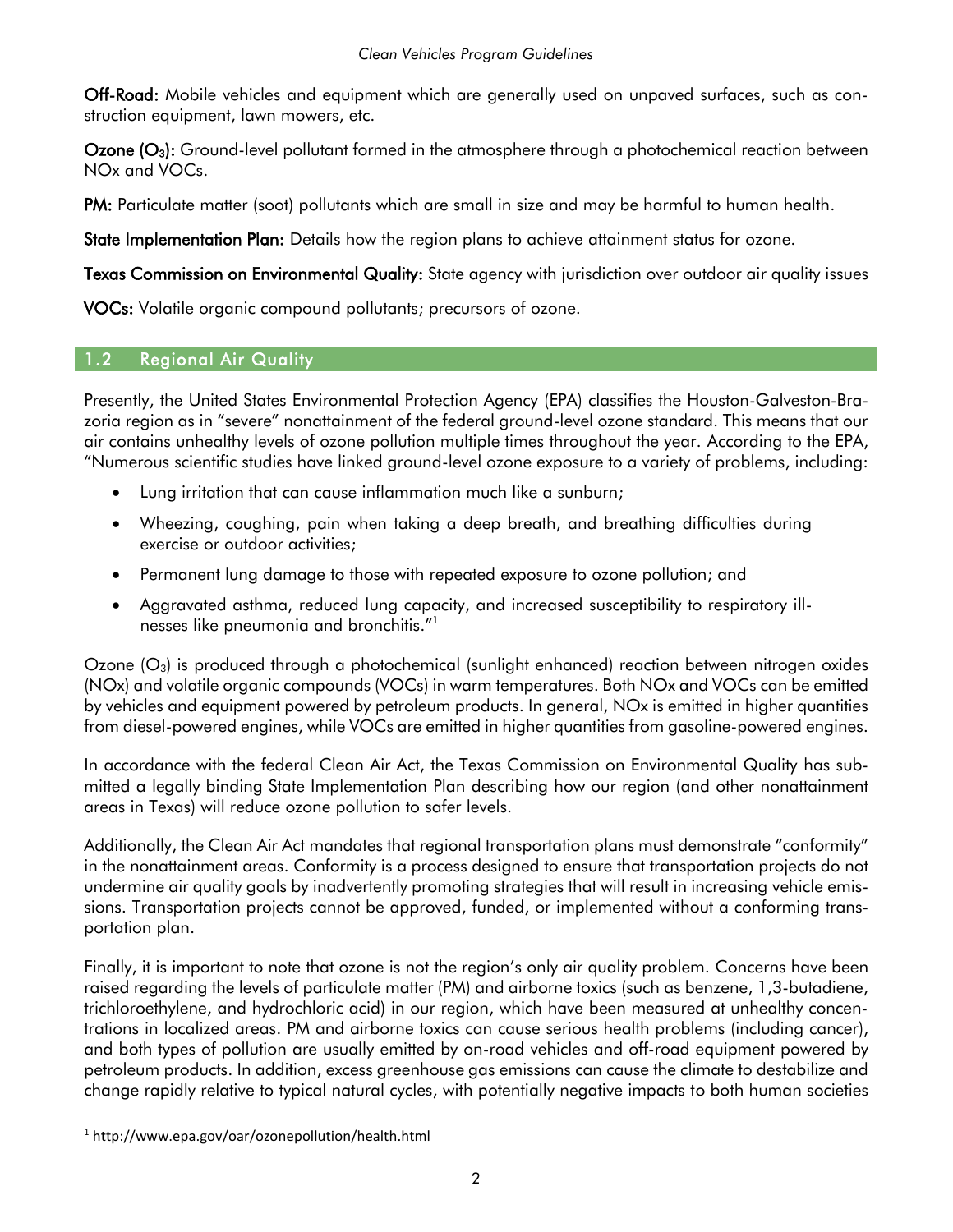Off-Road: Mobile vehicles and equipment which are generally used on unpaved surfaces, such as construction equipment, lawn mowers, etc.

Ozone (O<sub>3</sub>): Ground-level pollutant formed in the atmosphere through a photochemical reaction between NOx and VOCs.

PM: Particulate matter (soot) pollutants which are small in size and may be harmful to human health.

State Implementation Plan: Details how the region plans to achieve attainment status for ozone.

Texas Commission on Environmental Quality: State agency with jurisdiction over outdoor air quality issues

<span id="page-3-0"></span>VOCs: Volatile organic compound pollutants; precursors of ozone.

#### 1.2 Regional Air Quality

Presently, the United States Environmental Protection Agency (EPA) classifies the Houston-Galveston-Brazoria region as in "severe" nonattainment of the federal ground-level ozone standard. This means that our air contains unhealthy levels of ozone pollution multiple times throughout the year. According to the EPA, "Numerous scientific studies have linked ground-level ozone exposure to a variety of problems, including:

- Lung irritation that can cause inflammation much like a sunburn;
- Wheezing, coughing, pain when taking a deep breath, and breathing difficulties during exercise or outdoor activities;
- Permanent lung damage to those with repeated exposure to ozone pollution; and
- Aggravated asthma, reduced lung capacity, and increased susceptibility to respiratory illnesses like pneumonia and bronchitis."<sup>1</sup>

Ozone  $(O_3)$  is produced through a photochemical (sunlight enhanced) reaction between nitrogen oxides (NOx) and volatile organic compounds (VOCs) in warm temperatures. Both NOx and VOCs can be emitted by vehicles and equipment powered by petroleum products. In general, NOx is emitted in higher quantities from diesel-powered engines, while VOCs are emitted in higher quantities from gasoline-powered engines.

In accordance with the federal Clean Air Act, the Texas Commission on Environmental Quality has submitted a legally binding State Implementation Plan describing how our region (and other nonattainment areas in Texas) will reduce ozone pollution to safer levels.

Additionally, the Clean Air Act mandates that regional transportation plans must demonstrate "conformity" in the nonattainment areas. Conformity is a process designed to ensure that transportation projects do not undermine air quality goals by inadvertently promoting strategies that will result in increasing vehicle emissions. Transportation projects cannot be approved, funded, or implemented without a conforming transportation plan.

Finally, it is important to note that ozone is not the region's only air quality problem. Concerns have been raised regarding the levels of particulate matter (PM) and airborne toxics (such as benzene, 1,3-butadiene, trichloroethylene, and hydrochloric acid) in our region, which have been measured at unhealthy concentrations in localized areas. PM and airborne toxics can cause serious health problems (including cancer), and both types of pollution are usually emitted by on-road vehicles and off-road equipment powered by petroleum products. In addition, excess greenhouse gas emissions can cause the climate to destabilize and change rapidly relative to typical natural cycles, with potentially negative impacts to both human societies

<sup>1</sup> http://www.epa.gov/oar/ozonepollution/health.html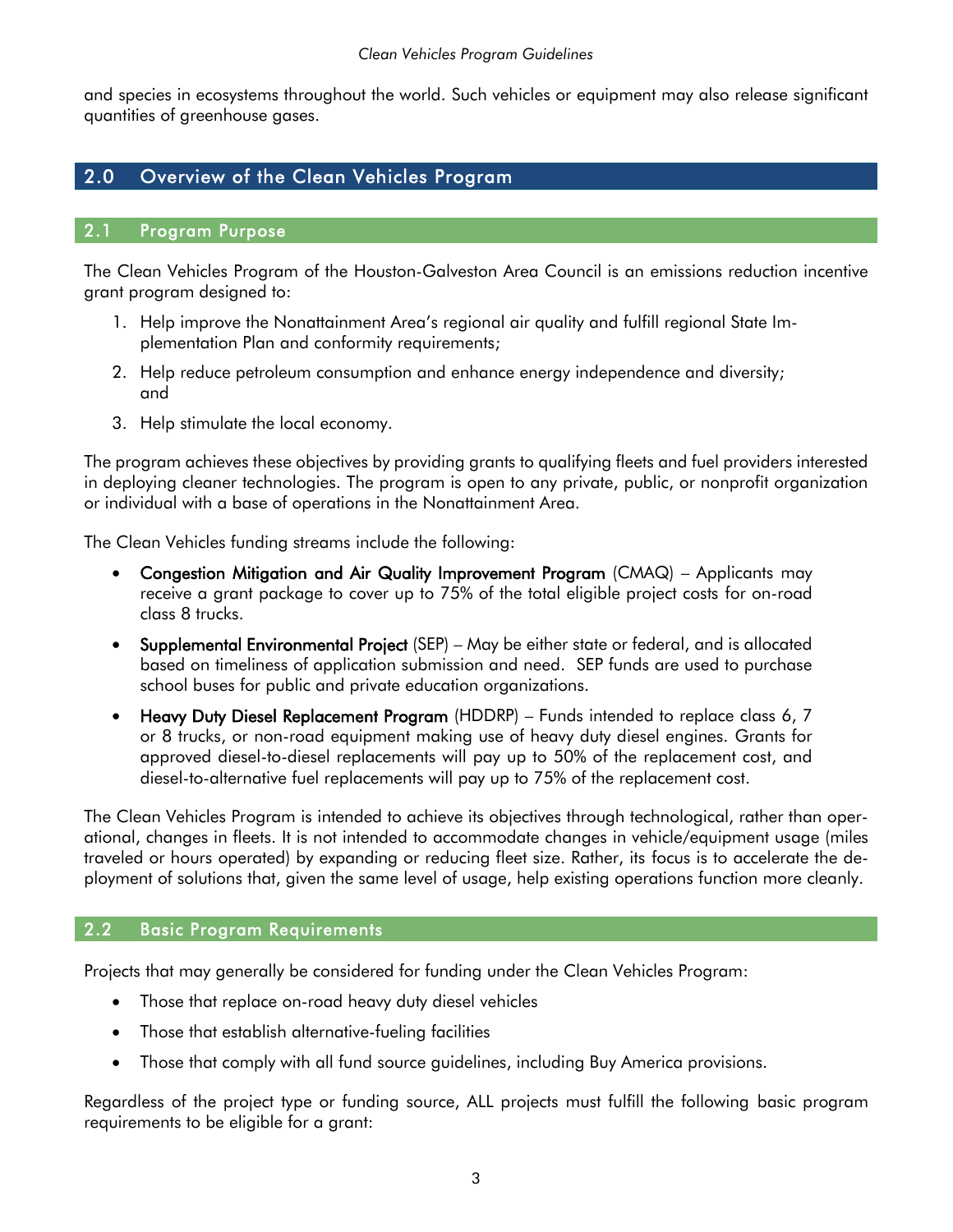and species in ecosystems throughout the world. Such vehicles or equipment may also release significant quantities of greenhouse gases.

#### <span id="page-4-1"></span><span id="page-4-0"></span>2.0 Overview of the Clean Vehicles Program

#### 2.1 Program Purpose

The Clean Vehicles Program of the Houston-Galveston Area Council is an emissions reduction incentive grant program designed to:

- 1. Help improve the Nonattainment Area's regional air quality and fulfill regional State Implementation Plan and conformity requirements;
- 2. Help reduce petroleum consumption and enhance energy independence and diversity; and
- 3. Help stimulate the local economy.

The program achieves these objectives by providing grants to qualifying fleets and fuel providers interested in deploying cleaner technologies. The program is open to any private, public, or nonprofit organization or individual with a base of operations in the Nonattainment Area.

The Clean Vehicles funding streams include the following:

- Congestion Mitigation and Air Quality Improvement Program (CMAQ) Applicants may receive a grant package to cover up to 75% of the total eligible project costs for on-road class 8 trucks.
- Supplemental Environmental Project (SEP) May be either state or federal, and is allocated based on timeliness of application submission and need. SEP funds are used to purchase school buses for public and private education organizations.
- Heavy Duty Diesel Replacement Program (HDDRP) Funds intended to replace class 6, 7 or 8 trucks, or non-road equipment making use of heavy duty diesel engines. Grants for approved diesel-to-diesel replacements will pay up to 50% of the replacement cost, and diesel-to-alternative fuel replacements will pay up to 75% of the replacement cost.

The Clean Vehicles Program is intended to achieve its objectives through technological, rather than operational, changes in fleets. It is not intended to accommodate changes in vehicle/equipment usage (miles traveled or hours operated) by expanding or reducing fleet size. Rather, its focus is to accelerate the deployment of solutions that, given the same level of usage, help existing operations function more cleanly.

#### <span id="page-4-2"></span>2.2 Basic Program Requirements

Projects that may generally be considered for funding under the Clean Vehicles Program:

- Those that replace on-road heavy duty diesel vehicles
- Those that establish alternative-fueling facilities
- Those that comply with all fund source guidelines, including Buy America provisions.

Regardless of the project type or funding source, ALL projects must fulfill the following basic program requirements to be eligible for a grant: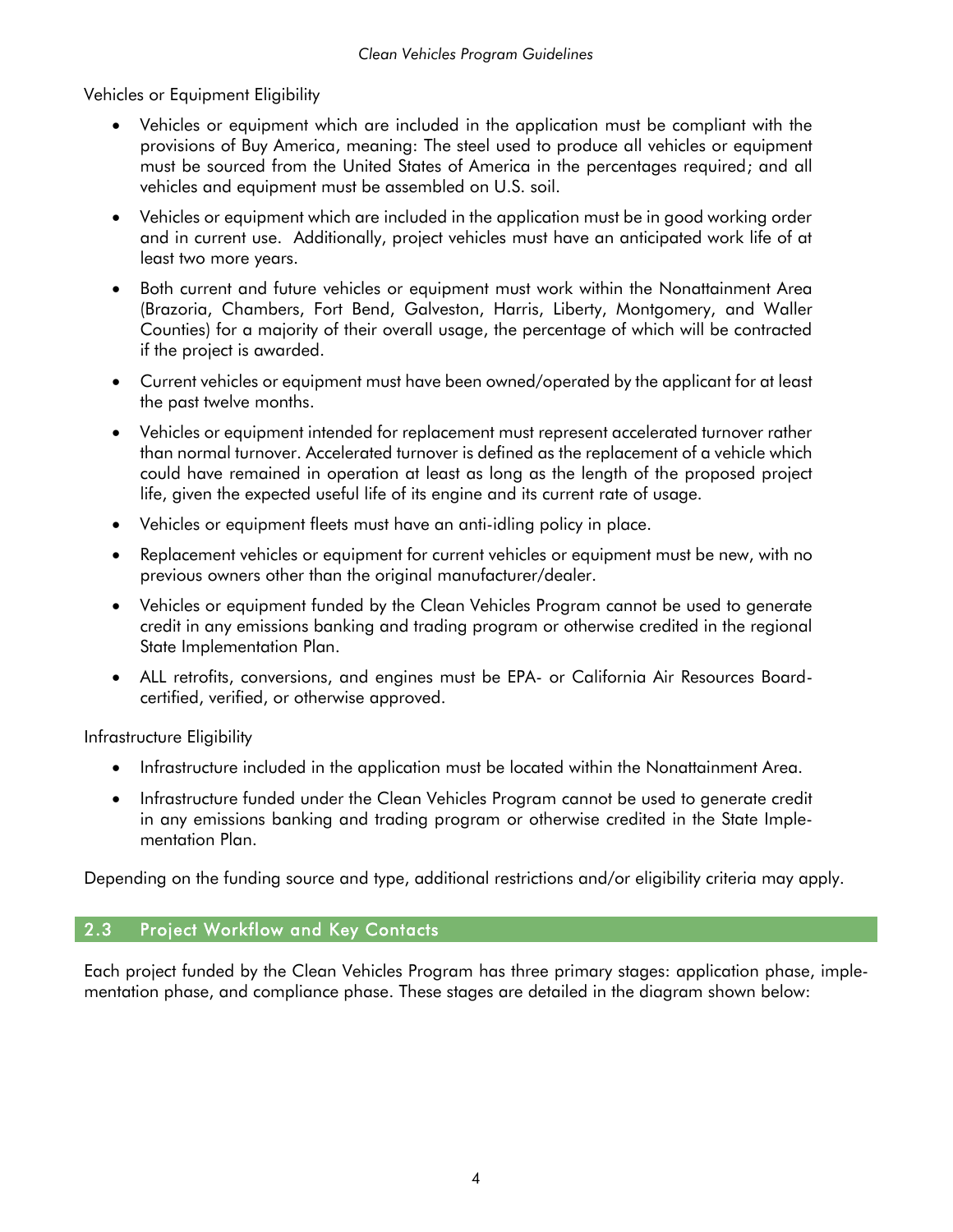Vehicles or Equipment Eligibility

- Vehicles or equipment which are included in the application must be compliant with the provisions of Buy America, meaning: The steel used to produce all vehicles or equipment must be sourced from the United States of America in the percentages required; and all vehicles and equipment must be assembled on U.S. soil.
- Vehicles or equipment which are included in the application must be in good working order and in current use. Additionally, project vehicles must have an anticipated work life of at least two more years.
- Both current and future vehicles or equipment must work within the Nonattainment Area (Brazoria, Chambers, Fort Bend, Galveston, Harris, Liberty, Montgomery, and Waller Counties) for a majority of their overall usage, the percentage of which will be contracted if the project is awarded.
- Current vehicles or equipment must have been owned/operated by the applicant for at least the past twelve months.
- Vehicles or equipment intended for replacement must represent accelerated turnover rather than normal turnover. Accelerated turnover is defined as the replacement of a vehicle which could have remained in operation at least as long as the length of the proposed project life, given the expected useful life of its engine and its current rate of usage.
- Vehicles or equipment fleets must have an anti-idling policy in place.
- Replacement vehicles or equipment for current vehicles or equipment must be new, with no previous owners other than the original manufacturer/dealer.
- Vehicles or equipment funded by the Clean Vehicles Program cannot be used to generate credit in any emissions banking and trading program or otherwise credited in the regional State Implementation Plan.
- ALL retrofits, conversions, and engines must be EPA- or California Air Resources Boardcertified, verified, or otherwise approved.

Infrastructure Eligibility

- Infrastructure included in the application must be located within the Nonattainment Area.
- Infrastructure funded under the Clean Vehicles Program cannot be used to generate credit in any emissions banking and trading program or otherwise credited in the State Implementation Plan.

<span id="page-5-0"></span>Depending on the funding source and type, additional restrictions and/or eligibility criteria may apply.

#### 2.3 Project Workflow and Key Contacts

Each project funded by the Clean Vehicles Program has three primary stages: application phase, implementation phase, and compliance phase. These stages are detailed in the diagram shown below: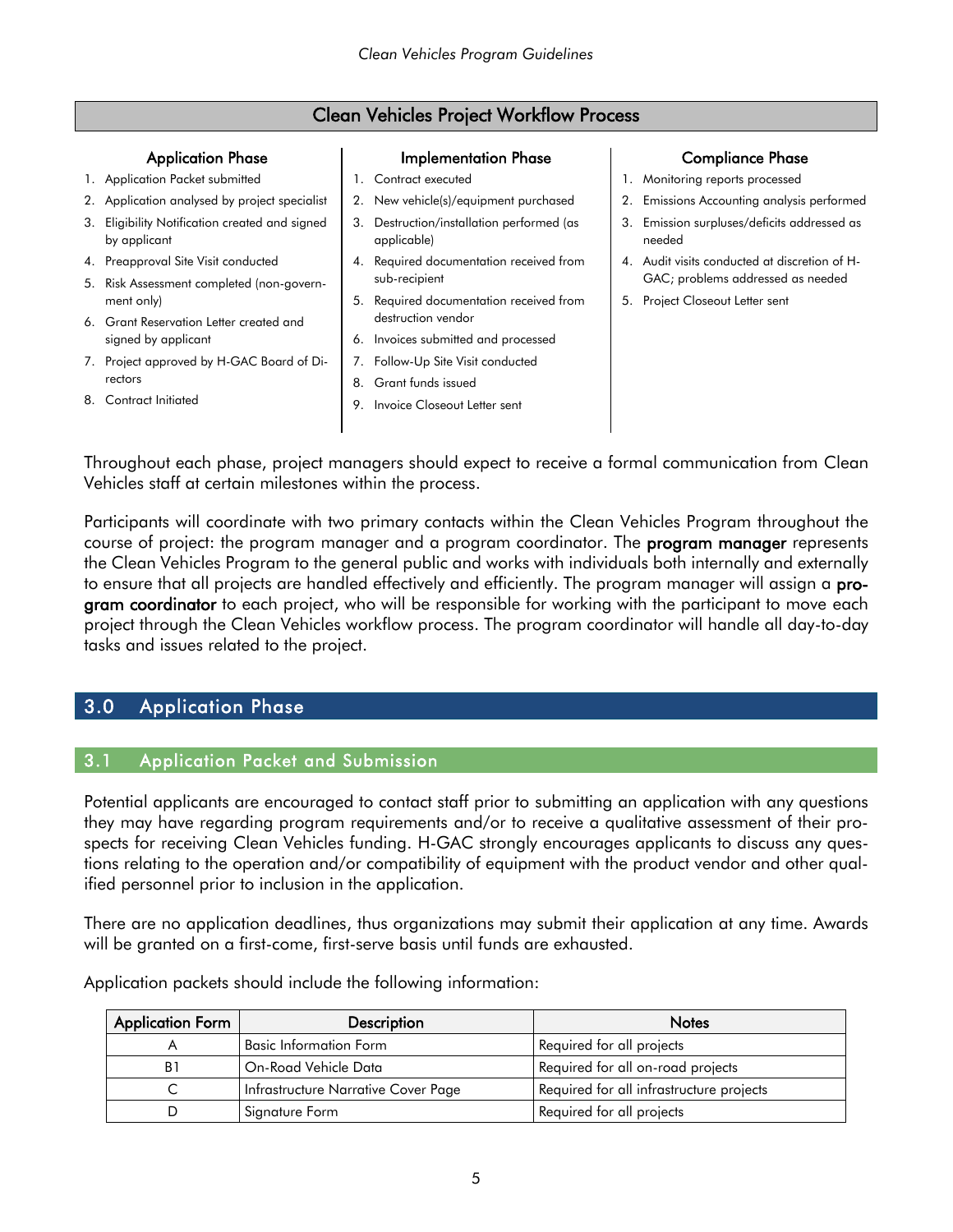#### Clean Vehicles Project Workflow Process

#### Application Phase

- 1. Application Packet submitted
- 2. Application analysed by project specialist
- 3. Eligibility Notification created and signed by applicant
- 4. Preapproval Site Visit conducted
- 5. Risk Assessment completed (non-government only)
- 6. Grant Reservation Letter created and signed by applicant
- 7. Project approved by H-GAC Board of Directors
- 8. Contract Initiated

#### Implementation Phase

- 1. Contract executed
- 2. New vehicle(s)/equipment purchased
- 3. Destruction/installation performed (as applicable)
- 4. Required documentation received from sub-recipient
- 5. Required documentation received from destruction vendor
- 6. Invoices submitted and processed
- 7. Follow-Up Site Visit conducted
- 8. Grant funds issued
- 9. Invoice Closeout Letter sent

#### Compliance Phase

- 1. Monitoring reports processed
- 2. Emissions Accounting analysis performed
- 3. Emission surpluses/deficits addressed as needed
- 4. Audit visits conducted at discretion of H-GAC; problems addressed as needed
- 5. Project Closeout Letter sent

Throughout each phase, project managers should expect to receive a formal communication from Clean Vehicles staff at certain milestones within the process.

Participants will coordinate with two primary contacts within the Clean Vehicles Program throughout the course of project: the program manager and a program coordinator. The **program manager** represents the Clean Vehicles Program to the general public and works with individuals both internally and externally to ensure that all projects are handled effectively and efficiently. The program manager will assign a program coordinator to each project, who will be responsible for working with the participant to move each project through the Clean Vehicles workflow process. The program coordinator will handle all day-to-day tasks and issues related to the project.

#### <span id="page-6-1"></span><span id="page-6-0"></span>3.0 Application Phase

#### 3.1 Application Packet and Submission

Potential applicants are encouraged to contact staff prior to submitting an application with any questions they may have regarding program requirements and/or to receive a qualitative assessment of their prospects for receiving Clean Vehicles funding. H-GAC strongly encourages applicants to discuss any questions relating to the operation and/or compatibility of equipment with the product vendor and other qualified personnel prior to inclusion in the application.

There are no application deadlines, thus organizations may submit their application at any time. Awards will be granted on a first-come, first-serve basis until funds are exhausted.

| <b>Application Form</b> | <b>Description</b>                  | <b>Notes</b>                             |
|-------------------------|-------------------------------------|------------------------------------------|
|                         | <b>Basic Information Form</b>       | Required for all projects                |
| B1                      | On-Road Vehicle Data                | Required for all on-road projects        |
|                         | Infrastructure Narrative Cover Page | Required for all infrastructure projects |
|                         | Signature Form                      | Required for all projects                |

Application packets should include the following information: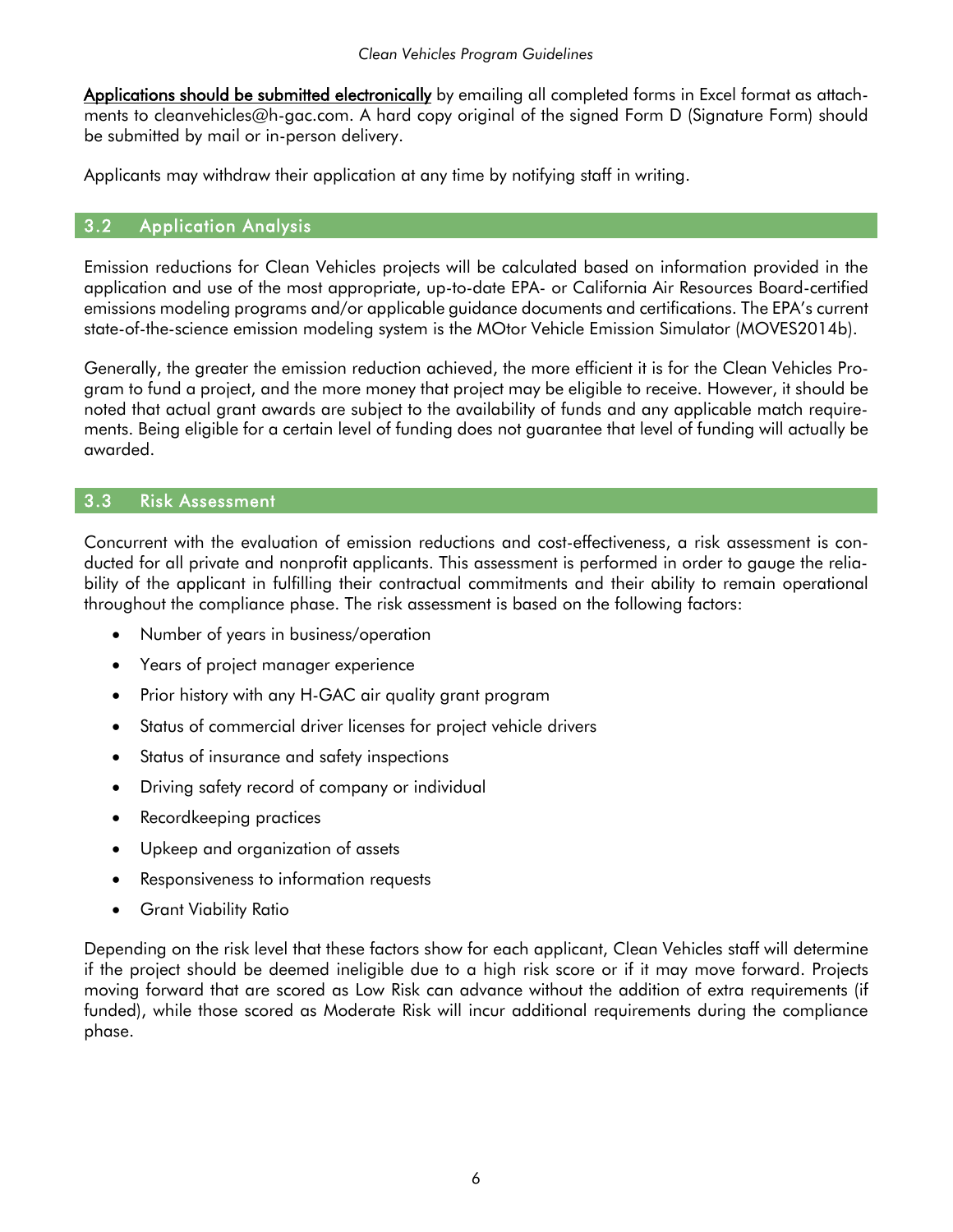Applications should be submitted electronically by emailing all completed forms in Excel format as attachments to [cleanvehicles@h-gac.com.](mailto:cleanvehicles@h-gac.com) A hard copy original of the signed Form D (Signature Form) should be submitted by mail or in-person delivery.

<span id="page-7-0"></span>Applicants may withdraw their application at any time by notifying staff in writing.

#### 3.2 Application Analysis

Emission reductions for Clean Vehicles projects will be calculated based on information provided in the application and use of the most appropriate, up-to-date EPA- or California Air Resources Board-certified emissions modeling programs and/or applicable guidance documents and certifications. The EPA's current state-of-the-science emission modeling system is the MOtor Vehicle Emission Simulator (MOVES2014b).

Generally, the greater the emission reduction achieved, the more efficient it is for the Clean Vehicles Program to fund a project, and the more money that project may be eligible to receive. However, it should be noted that actual grant awards are subject to the availability of funds and any applicable match requirements. Being eligible for a certain level of funding does not guarantee that level of funding will actually be awarded.

#### <span id="page-7-1"></span>3.3 Risk Assessment

Concurrent with the evaluation of emission reductions and cost-effectiveness, a risk assessment is conducted for all private and nonprofit applicants. This assessment is performed in order to gauge the reliability of the applicant in fulfilling their contractual commitments and their ability to remain operational throughout the compliance phase. The risk assessment is based on the following factors:

- Number of years in business/operation
- Years of project manager experience
- Prior history with any H-GAC air quality grant program
- Status of commercial driver licenses for project vehicle drivers
- Status of insurance and safety inspections
- Driving safety record of company or individual
- Recordkeeping practices
- Upkeep and organization of assets
- Responsiveness to information requests
- Grant Viability Ratio

Depending on the risk level that these factors show for each applicant, Clean Vehicles staff will determine if the project should be deemed ineligible due to a high risk score or if it may move forward. Projects moving forward that are scored as Low Risk can advance without the addition of extra requirements (if funded), while those scored as Moderate Risk will incur additional requirements during the compliance phase.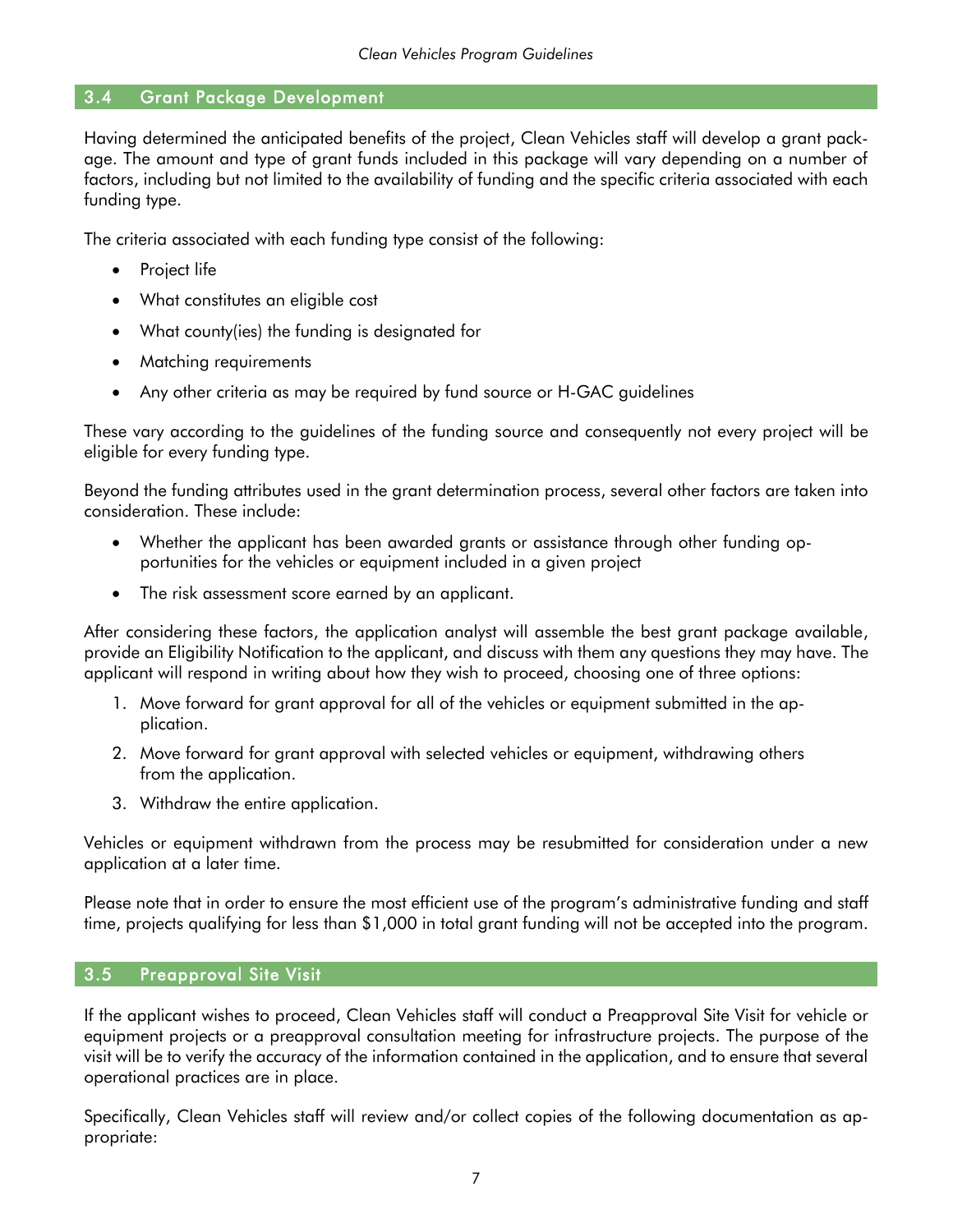#### <span id="page-8-0"></span>3.4 Grant Package Development

Having determined the anticipated benefits of the project, Clean Vehicles staff will develop a grant package. The amount and type of grant funds included in this package will vary depending on a number of factors, including but not limited to the availability of funding and the specific criteria associated with each funding type.

The criteria associated with each funding type consist of the following:

- Project life
- What constitutes an eligible cost
- What county(ies) the funding is designated for
- Matching requirements
- Any other criteria as may be required by fund source or H-GAC guidelines

These vary according to the guidelines of the funding source and consequently not every project will be eligible for every funding type.

Beyond the funding attributes used in the grant determination process, several other factors are taken into consideration. These include:

- Whether the applicant has been awarded grants or assistance through other funding opportunities for the vehicles or equipment included in a given project
- The risk assessment score earned by an applicant.

After considering these factors, the application analyst will assemble the best grant package available, provide an Eligibility Notification to the applicant, and discuss with them any questions they may have. The applicant will respond in writing about how they wish to proceed, choosing one of three options:

- 1. Move forward for grant approval for all of the vehicles or equipment submitted in the application.
- 2. Move forward for grant approval with selected vehicles or equipment, withdrawing others from the application.
- 3. Withdraw the entire application.

Vehicles or equipment withdrawn from the process may be resubmitted for consideration under a new application at a later time.

Please note that in order to ensure the most efficient use of the program's administrative funding and staff time, projects qualifying for less than \$1,000 in total grant funding will not be accepted into the program.

#### <span id="page-8-1"></span>3.5 Preapproval Site Visit

If the applicant wishes to proceed, Clean Vehicles staff will conduct a Preapproval Site Visit for vehicle or equipment projects or a preapproval consultation meeting for infrastructure projects. The purpose of the visit will be to verify the accuracy of the information contained in the application, and to ensure that several operational practices are in place.

Specifically, Clean Vehicles staff will review and/or collect copies of the following documentation as appropriate: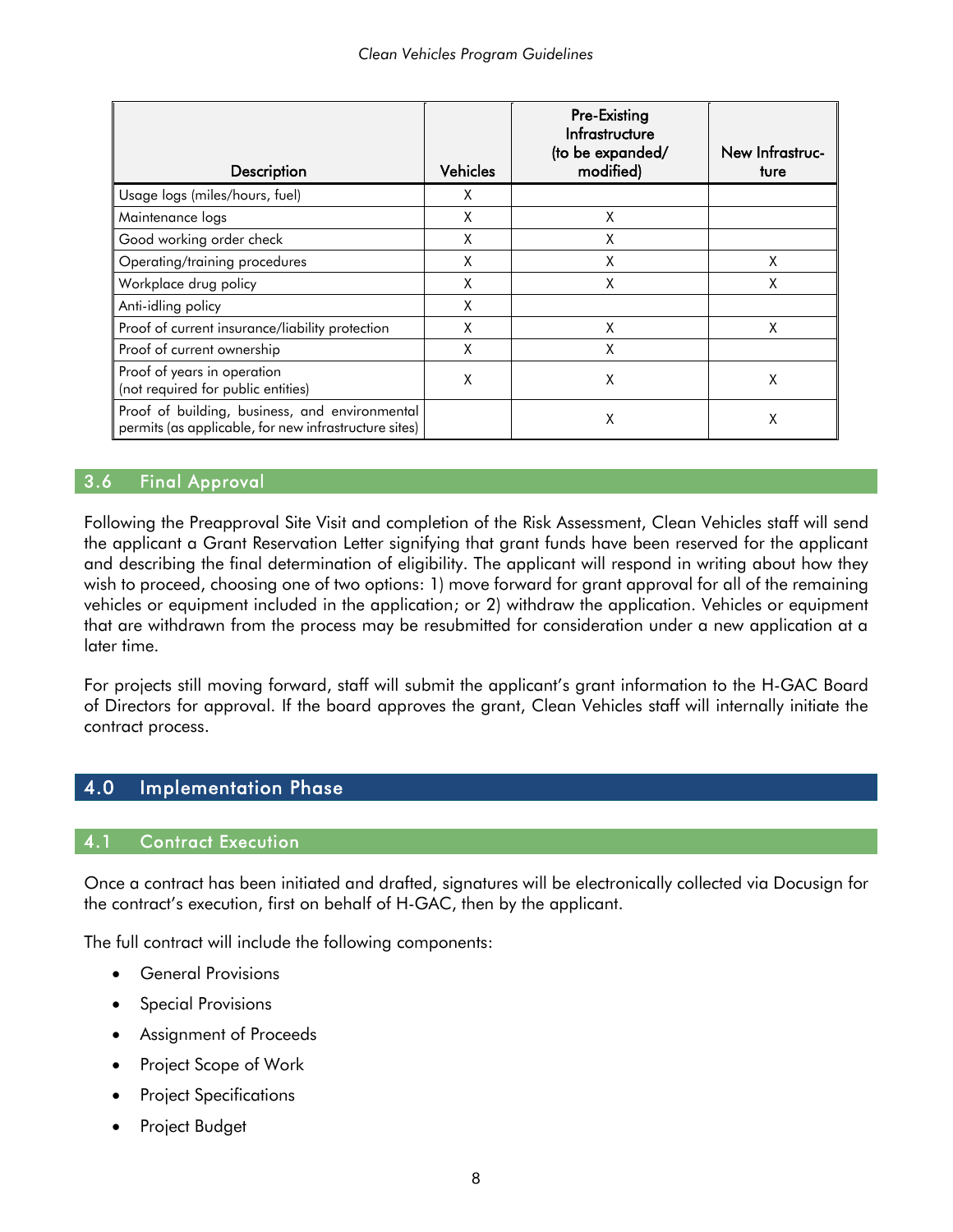| Description                                                                                             | <b>Vehicles</b> | Pre-Existing<br>Infrastructure<br>(to be expanded/<br>modified) | New Infrastruc-<br>ture |
|---------------------------------------------------------------------------------------------------------|-----------------|-----------------------------------------------------------------|-------------------------|
| Usage logs (miles/hours, fuel)                                                                          | Χ               |                                                                 |                         |
| Maintenance logs                                                                                        | X               | Χ                                                               |                         |
| Good working order check                                                                                | X               | χ                                                               |                         |
| Operating/training procedures                                                                           | Χ               | X                                                               | Χ                       |
| Workplace drug policy                                                                                   | X               | X                                                               | χ                       |
| Anti-idling policy                                                                                      | χ               |                                                                 |                         |
| Proof of current insurance/liability protection                                                         | χ               | X                                                               | χ                       |
| Proof of current ownership                                                                              | χ               | Χ                                                               |                         |
| Proof of years in operation<br>(not required for public entities)                                       | Χ               | χ                                                               | Χ                       |
| Proof of building, business, and environmental<br>permits (as applicable, for new infrastructure sites) |                 | χ                                                               | Χ                       |

#### <span id="page-9-0"></span>3.6 Final Approval

Following the Preapproval Site Visit and completion of the Risk Assessment, Clean Vehicles staff will send the applicant a Grant Reservation Letter signifying that grant funds have been reserved for the applicant and describing the final determination of eligibility. The applicant will respond in writing about how they wish to proceed, choosing one of two options: 1) move forward for grant approval for all of the remaining vehicles or equipment included in the application; or 2) withdraw the application. Vehicles or equipment that are withdrawn from the process may be resubmitted for consideration under a new application at a later time.

For projects still moving forward, staff will submit the applicant's grant information to the H-GAC Board of Directors for approval. If the board approves the grant, Clean Vehicles staff will internally initiate the contract process.

#### <span id="page-9-2"></span><span id="page-9-1"></span>4.0 Implementation Phase

#### 4.1 Contract Execution

Once a contract has been initiated and drafted, signatures will be electronically collected via Docusign for the contract's execution, first on behalf of H-GAC, then by the applicant.

The full contract will include the following components:

- General Provisions
- **Special Provisions**
- Assignment of Proceeds
- Project Scope of Work
- **Project Specifications**
- Project Budget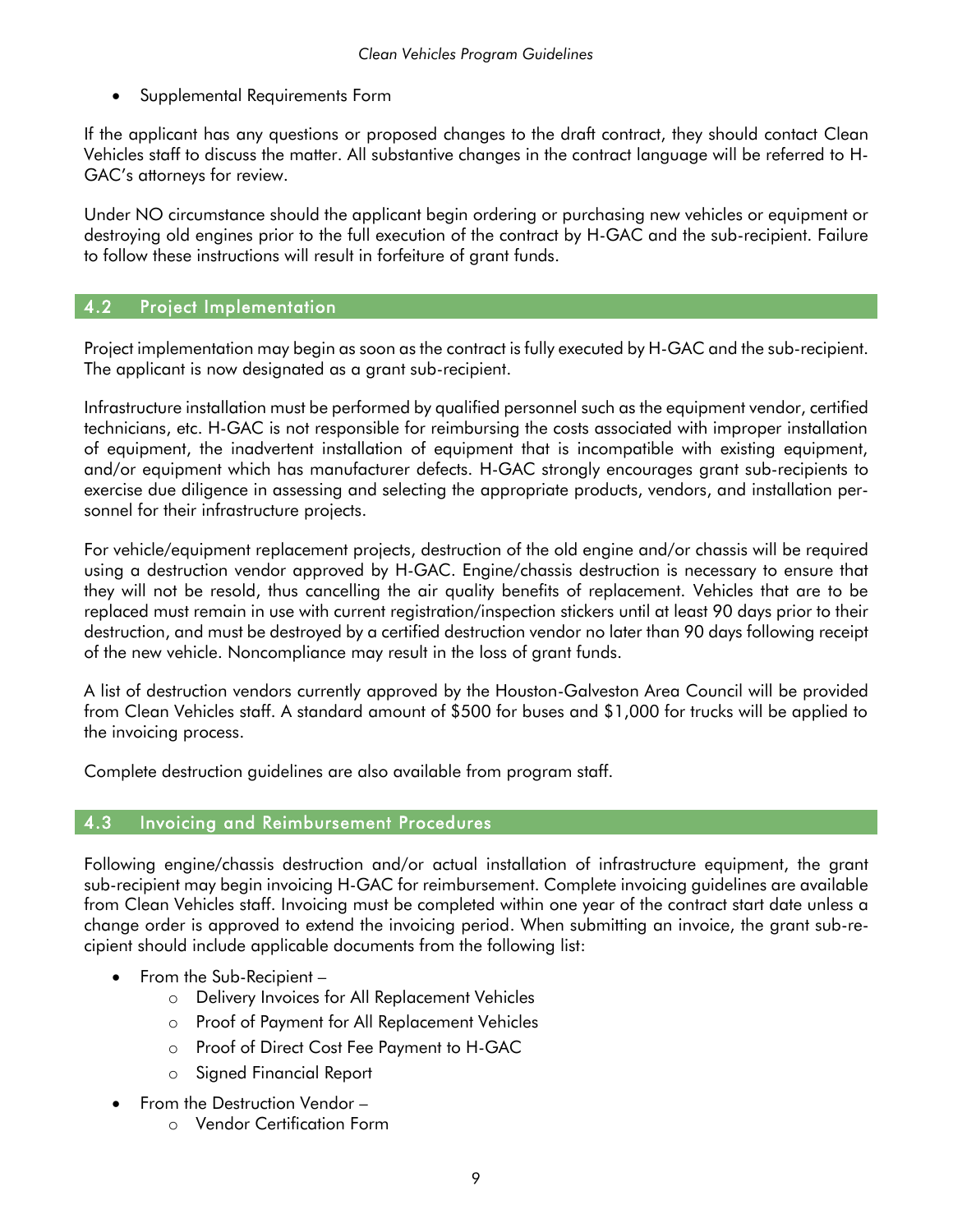• Supplemental Requirements Form

If the applicant has any questions or proposed changes to the draft contract, they should contact Clean Vehicles staff to discuss the matter. All substantive changes in the contract language will be referred to H-GAC's attorneys for review.

Under NO circumstance should the applicant begin ordering or purchasing new vehicles or equipment or destroying old engines prior to the full execution of the contract by H-GAC and the sub-recipient. Failure to follow these instructions will result in forfeiture of grant funds.

#### <span id="page-10-0"></span>4.2 Project Implementation

Project implementation may begin as soon as the contract is fully executed by H-GAC and the sub-recipient. The applicant is now designated as a grant sub-recipient.

Infrastructure installation must be performed by qualified personnel such as the equipment vendor, certified technicians, etc. H-GAC is not responsible for reimbursing the costs associated with improper installation of equipment, the inadvertent installation of equipment that is incompatible with existing equipment, and/or equipment which has manufacturer defects. H-GAC strongly encourages grant sub-recipients to exercise due diligence in assessing and selecting the appropriate products, vendors, and installation personnel for their infrastructure projects.

For vehicle/equipment replacement projects, destruction of the old engine and/or chassis will be required using a destruction vendor approved by H-GAC. Engine/chassis destruction is necessary to ensure that they will not be resold, thus cancelling the air quality benefits of replacement. Vehicles that are to be replaced must remain in use with current registration/inspection stickers until at least 90 days prior to their destruction, and must be destroyed by a certified destruction vendor no later than 90 days following receipt of the new vehicle. Noncompliance may result in the loss of grant funds.

A list of destruction vendors currently approved by the Houston-Galveston Area Council will be provided from Clean Vehicles staff. A standard amount of \$500 for buses and \$1,000 for trucks will be applied to the invoicing process.

<span id="page-10-1"></span>Complete destruction guidelines are also available from program staff.

#### 4.3 Invoicing and Reimbursement Procedures

Following engine/chassis destruction and/or actual installation of infrastructure equipment, the grant sub-recipient may begin invoicing H-GAC for reimbursement. Complete invoicing guidelines are available from Clean Vehicles staff. Invoicing must be completed within one year of the contract start date unless a change order is approved to extend the invoicing period. When submitting an invoice, the grant sub-recipient should include applicable documents from the following list:

- From the Sub-Recipient
	- o Delivery Invoices for All Replacement Vehicles
	- o Proof of Payment for All Replacement Vehicles
	- o Proof of Direct Cost Fee Payment to H-GAC
	- o Signed Financial Report
- From the Destruction Vendor
	- o Vendor Certification Form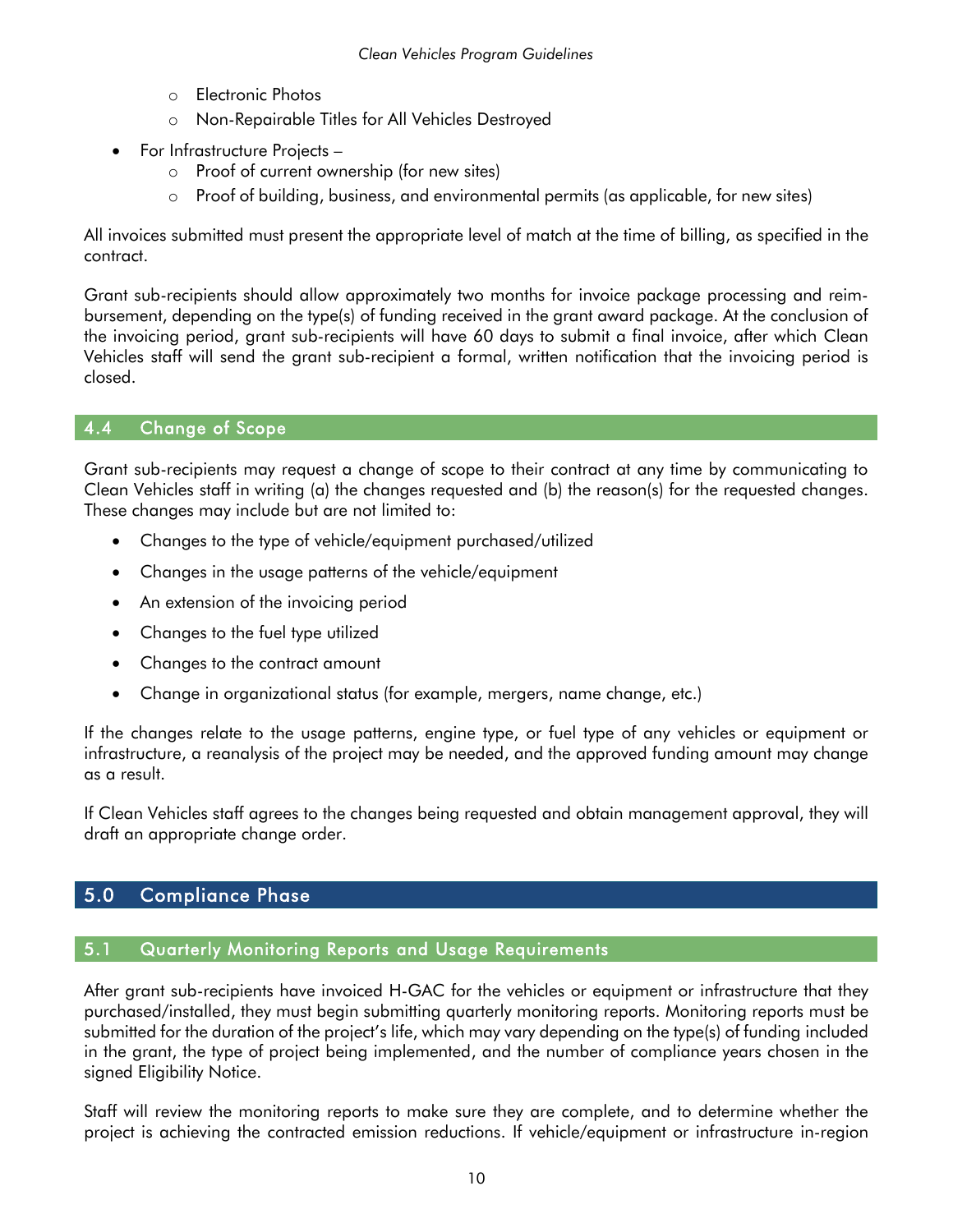- o Electronic Photos
- o Non-Repairable Titles for All Vehicles Destroyed
- For Infrastructure Projects
	- o Proof of current ownership (for new sites)
	- o Proof of building, business, and environmental permits (as applicable, for new sites)

All invoices submitted must present the appropriate level of match at the time of billing, as specified in the contract.

Grant sub-recipients should allow approximately two months for invoice package processing and reimbursement, depending on the type(s) of funding received in the grant award package. At the conclusion of the invoicing period, grant sub-recipients will have 60 days to submit a final invoice, after which Clean Vehicles staff will send the grant sub-recipient a formal, written notification that the invoicing period is closed.

#### <span id="page-11-0"></span>4.4 Change of Scope

Grant sub-recipients may request a change of scope to their contract at any time by communicating to Clean Vehicles staff in writing (a) the changes requested and (b) the reason(s) for the requested changes. These changes may include but are not limited to:

- Changes to the type of vehicle/equipment purchased/utilized
- Changes in the usage patterns of the vehicle/equipment
- An extension of the invoicing period
- Changes to the fuel type utilized
- Changes to the contract amount
- Change in organizational status (for example, mergers, name change, etc.)

If the changes relate to the usage patterns, engine type, or fuel type of any vehicles or equipment or infrastructure, a reanalysis of the project may be needed, and the approved funding amount may change as a result.

If Clean Vehicles staff agrees to the changes being requested and obtain management approval, they will draft an appropriate change order.

#### <span id="page-11-2"></span><span id="page-11-1"></span>5.0 Compliance Phase

#### 5.1 Quarterly Monitoring Reports and Usage Requirements

After grant sub-recipients have invoiced H-GAC for the vehicles or equipment or infrastructure that they purchased/installed, they must begin submitting quarterly monitoring reports. Monitoring reports must be submitted for the duration of the project's life, which may vary depending on the type(s) of funding included in the grant, the type of project being implemented, and the number of compliance years chosen in the signed Eligibility Notice.

Staff will review the monitoring reports to make sure they are complete, and to determine whether the project is achieving the contracted emission reductions. If vehicle/equipment or infrastructure in-region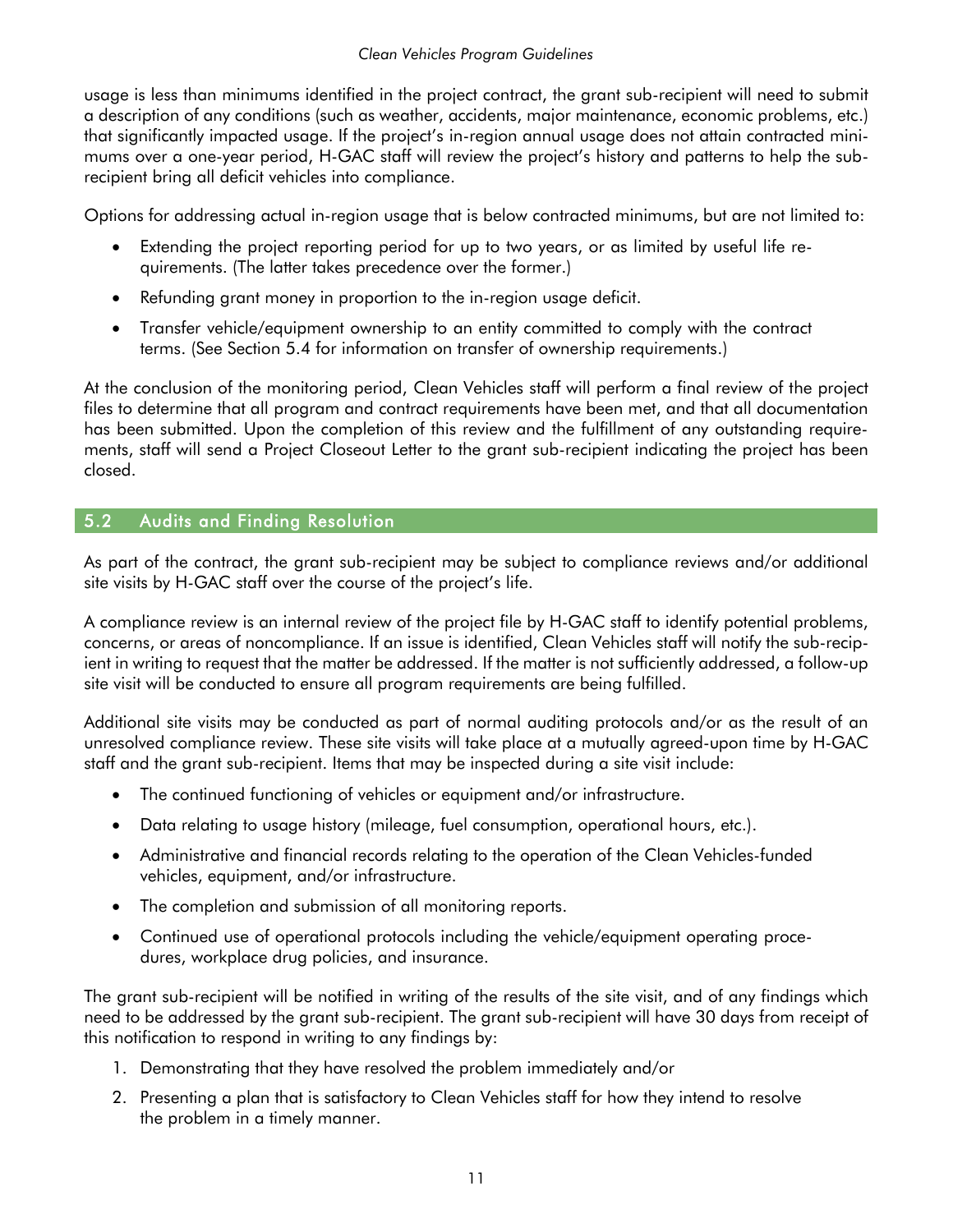usage is less than minimums identified in the project contract, the grant sub-recipient will need to submit a description of any conditions (such as weather, accidents, major maintenance, economic problems, etc.) that significantly impacted usage. If the project's in-region annual usage does not attain contracted minimums over a one-year period, H-GAC staff will review the project's history and patterns to help the subrecipient bring all deficit vehicles into compliance.

Options for addressing actual in-region usage that is below contracted minimums, but are not limited to:

- Extending the project reporting period for up to two years, or as limited by useful life requirements. (The latter takes precedence over the former.)
- Refunding grant money in proportion to the in-region usage deficit.
- Transfer vehicle/equipment ownership to an entity committed to comply with the contract terms. (See Section 5.4 for information on transfer of ownership requirements.)

At the conclusion of the monitoring period, Clean Vehicles staff will perform a final review of the project files to determine that all program and contract requirements have been met, and that all documentation has been submitted. Upon the completion of this review and the fulfillment of any outstanding requirements, staff will send a Project Closeout Letter to the grant sub-recipient indicating the project has been closed.

#### <span id="page-12-0"></span>5.2 Audits and Finding Resolution

As part of the contract, the grant sub-recipient may be subject to compliance reviews and/or additional site visits by H-GAC staff over the course of the project's life.

A compliance review is an internal review of the project file by H-GAC staff to identify potential problems, concerns, or areas of noncompliance. If an issue is identified, Clean Vehicles staff will notify the sub-recipient in writing to request that the matter be addressed. If the matter is not sufficiently addressed, a follow-up site visit will be conducted to ensure all program requirements are being fulfilled.

Additional site visits may be conducted as part of normal auditing protocols and/or as the result of an unresolved compliance review. These site visits will take place at a mutually agreed-upon time by H-GAC staff and the grant sub-recipient. Items that may be inspected during a site visit include:

- The continued functioning of vehicles or equipment and/or infrastructure.
- Data relating to usage history (mileage, fuel consumption, operational hours, etc.).
- Administrative and financial records relating to the operation of the Clean Vehicles-funded vehicles, equipment, and/or infrastructure.
- The completion and submission of all monitoring reports.
- Continued use of operational protocols including the vehicle/equipment operating procedures, workplace drug policies, and insurance.

The grant sub-recipient will be notified in writing of the results of the site visit, and of any findings which need to be addressed by the grant sub-recipient. The grant sub-recipient will have 30 days from receipt of this notification to respond in writing to any findings by:

- 1. Demonstrating that they have resolved the problem immediately and/or
- 2. Presenting a plan that is satisfactory to Clean Vehicles staff for how they intend to resolve the problem in a timely manner.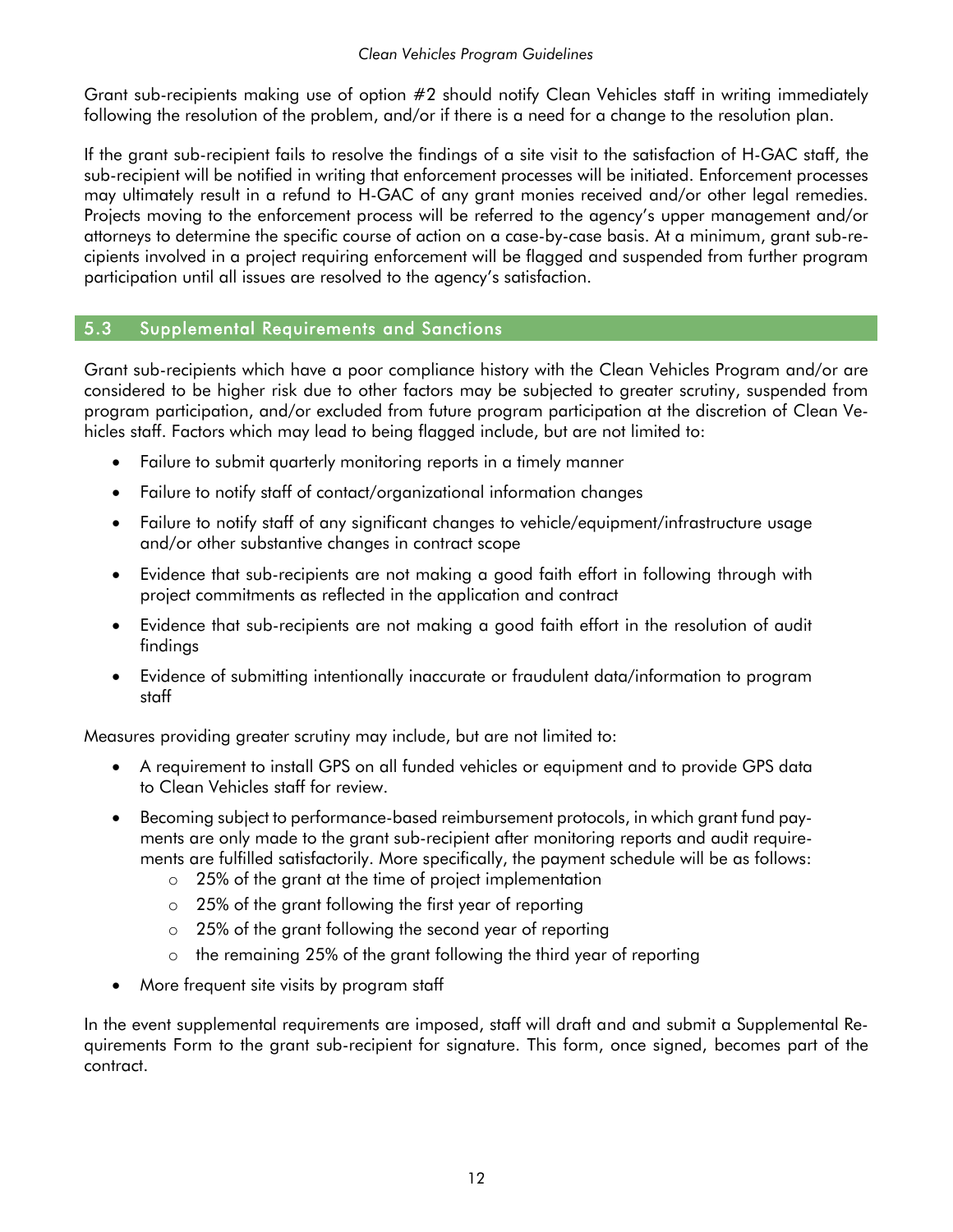Grant sub-recipients making use of option #2 should notify Clean Vehicles staff in writing immediately following the resolution of the problem, and/or if there is a need for a change to the resolution plan.

If the grant sub-recipient fails to resolve the findings of a site visit to the satisfaction of H-GAC staff, the sub-recipient will be notified in writing that enforcement processes will be initiated. Enforcement processes may ultimately result in a refund to H-GAC of any grant monies received and/or other legal remedies. Projects moving to the enforcement process will be referred to the agency's upper management and/or attorneys to determine the specific course of action on a case-by-case basis. At a minimum, grant sub-recipients involved in a project requiring enforcement will be flagged and suspended from further program participation until all issues are resolved to the agency's satisfaction.

#### <span id="page-13-0"></span>5.3 Supplemental Requirements and Sanctions

Grant sub-recipients which have a poor compliance history with the Clean Vehicles Program and/or are considered to be higher risk due to other factors may be subjected to greater scrutiny, suspended from program participation, and/or excluded from future program participation at the discretion of Clean Vehicles staff. Factors which may lead to being flagged include, but are not limited to:

- Failure to submit quarterly monitoring reports in a timely manner
- Failure to notify staff of contact/organizational information changes
- Failure to notify staff of any significant changes to vehicle/equipment/infrastructure usage and/or other substantive changes in contract scope
- Evidence that sub-recipients are not making a good faith effort in following through with project commitments as reflected in the application and contract
- Evidence that sub-recipients are not making a good faith effort in the resolution of audit findings
- Evidence of submitting intentionally inaccurate or fraudulent data/information to program staff

Measures providing greater scrutiny may include, but are not limited to:

- A requirement to install GPS on all funded vehicles or equipment and to provide GPS data to Clean Vehicles staff for review.
- Becoming subject to performance-based reimbursement protocols, in which grant fund payments are only made to the grant sub-recipient after monitoring reports and audit requirements are fulfilled satisfactorily. More specifically, the payment schedule will be as follows:
	- o 25% of the grant at the time of project implementation
	- o 25% of the grant following the first year of reporting
	- o 25% of the grant following the second year of reporting
	- o the remaining 25% of the grant following the third year of reporting
- More frequent site visits by program staff

In the event supplemental requirements are imposed, staff will draft and and submit a Supplemental Requirements Form to the grant sub-recipient for signature. This form, once signed, becomes part of the contract.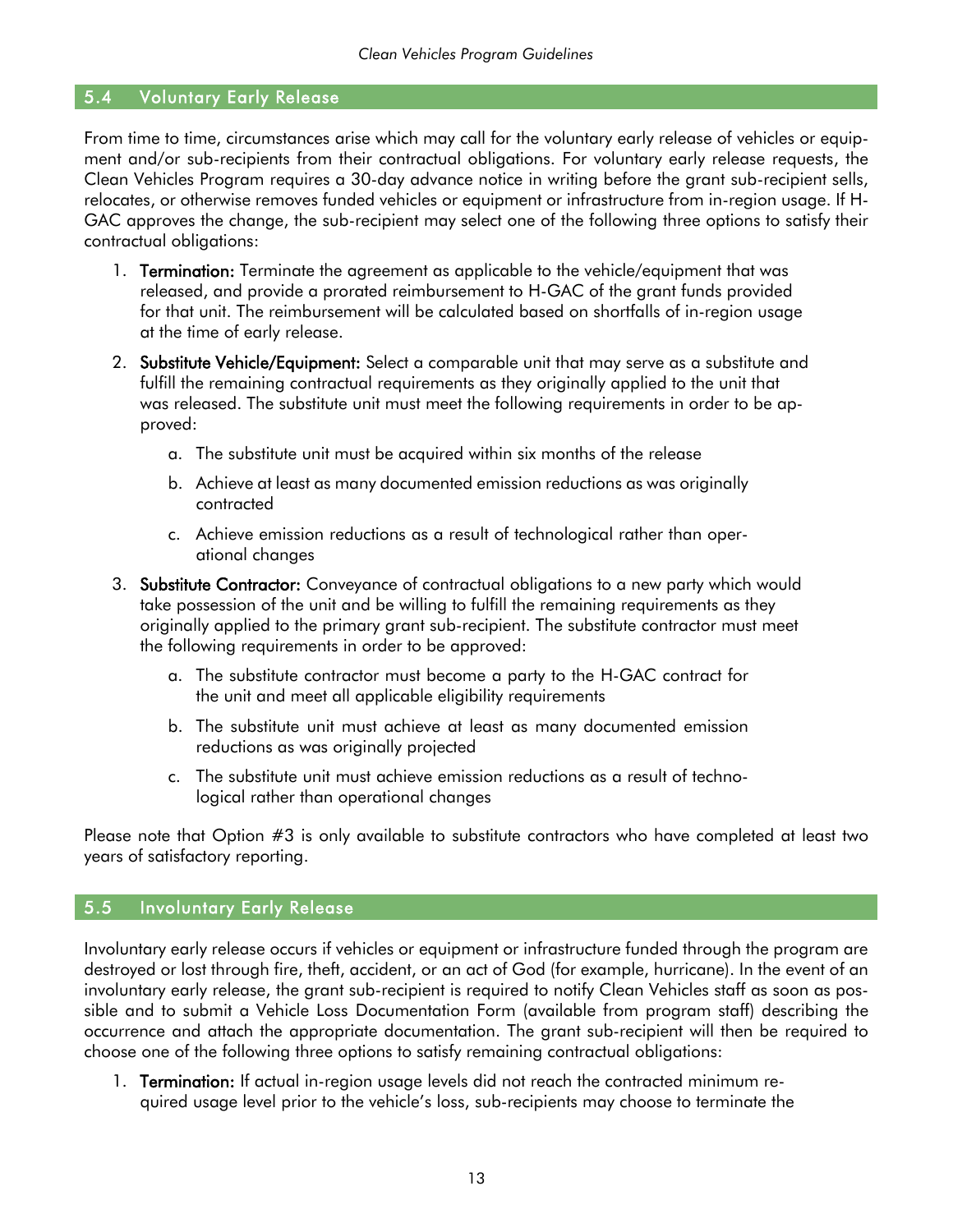#### <span id="page-14-0"></span>5.4 Voluntary Early Release

From time to time, circumstances arise which may call for the voluntary early release of vehicles or equipment and/or sub-recipients from their contractual obligations. For voluntary early release requests, the Clean Vehicles Program requires a 30-day advance notice in writing before the grant sub-recipient sells, relocates, or otherwise removes funded vehicles or equipment or infrastructure from in-region usage. If H-GAC approves the change, the sub-recipient may select one of the following three options to satisfy their contractual obligations:

- 1. **Termination:** Terminate the agreement as applicable to the vehicle/equipment that was released, and provide a prorated reimbursement to H-GAC of the grant funds provided for that unit. The reimbursement will be calculated based on shortfalls of in-region usage at the time of early release.
- 2. Substitute Vehicle/Equipment: Select a comparable unit that may serve as a substitute and fulfill the remaining contractual requirements as they originally applied to the unit that was released. The substitute unit must meet the following requirements in order to be approved:
	- a. The substitute unit must be acquired within six months of the release
	- b. Achieve at least as many documented emission reductions as was originally contracted
	- c. Achieve emission reductions as a result of technological rather than operational changes
- 3. Substitute Contractor: Conveyance of contractual obligations to a new party which would take possession of the unit and be willing to fulfill the remaining requirements as they originally applied to the primary grant sub-recipient. The substitute contractor must meet the following requirements in order to be approved:
	- a. The substitute contractor must become a party to the H-GAC contract for the unit and meet all applicable eligibility requirements
	- b. The substitute unit must achieve at least as many documented emission reductions as was originally projected
	- c. The substitute unit must achieve emission reductions as a result of technological rather than operational changes

Please note that Option #3 is only available to substitute contractors who have completed at least two years of satisfactory reporting.

#### <span id="page-14-1"></span>5.5 Involuntary Early Release

Involuntary early release occurs if vehicles or equipment or infrastructure funded through the program are destroyed or lost through fire, theft, accident, or an act of God (for example, hurricane). In the event of an involuntary early release, the grant sub-recipient is required to notify Clean Vehicles staff as soon as possible and to submit a Vehicle Loss Documentation Form (available from program staff) describing the occurrence and attach the appropriate documentation. The grant sub-recipient will then be required to choose one of the following three options to satisfy remaining contractual obligations:

1. Termination: If actual in-region usage levels did not reach the contracted minimum required usage level prior to the vehicle's loss, sub-recipients may choose to terminate the